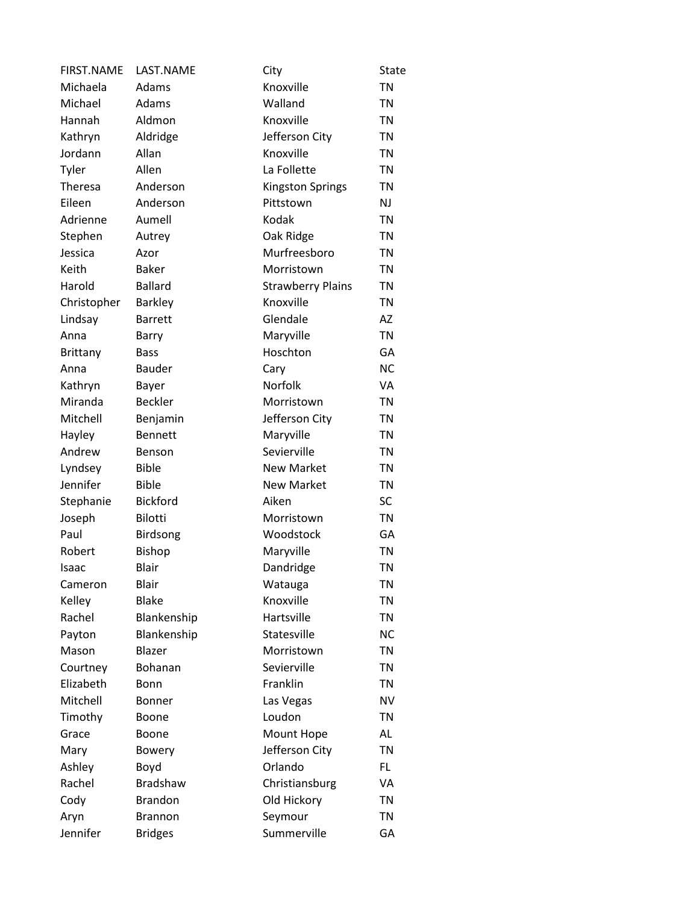| <b>FIRST.NAME</b> | LAST.NAME       | City                     | <b>State</b> |
|-------------------|-----------------|--------------------------|--------------|
| Michaela          | Adams           | Knoxville                | <b>TN</b>    |
| Michael           | Adams           | Walland                  | <b>TN</b>    |
| Hannah            | Aldmon          | Knoxville                | TN           |
| Kathryn           | Aldridge        | Jefferson City           | <b>TN</b>    |
| Jordann           | Allan           | Knoxville                | <b>TN</b>    |
| Tyler             | Allen           | La Follette              | <b>TN</b>    |
| <b>Theresa</b>    | Anderson        | <b>Kingston Springs</b>  | <b>TN</b>    |
| Eileen            | Anderson        | Pittstown                | <b>NJ</b>    |
| Adrienne          | Aumell          | Kodak                    | <b>TN</b>    |
| Stephen           | Autrey          | Oak Ridge                | <b>TN</b>    |
| Jessica           | Azor            | Murfreesboro             | <b>TN</b>    |
| Keith             | <b>Baker</b>    | Morristown               | <b>TN</b>    |
| Harold            | <b>Ballard</b>  | <b>Strawberry Plains</b> | <b>TN</b>    |
| Christopher       | <b>Barkley</b>  | Knoxville                | <b>TN</b>    |
| Lindsay           | <b>Barrett</b>  | Glendale                 | AZ           |
| Anna              | Barry           | Maryville                | <b>TN</b>    |
| <b>Brittany</b>   | <b>Bass</b>     | Hoschton                 | GA           |
| Anna              | <b>Bauder</b>   | Cary                     | <b>NC</b>    |
| Kathryn           | Bayer           | Norfolk                  | VA           |
| Miranda           | <b>Beckler</b>  | Morristown               | <b>TN</b>    |
| Mitchell          | Benjamin        | Jefferson City           | <b>TN</b>    |
| Hayley            | <b>Bennett</b>  | Maryville                | TN           |
| Andrew            | Benson          | Sevierville              | <b>TN</b>    |
| Lyndsey           | <b>Bible</b>    | <b>New Market</b>        | <b>TN</b>    |
| Jennifer          | <b>Bible</b>    | <b>New Market</b>        | <b>TN</b>    |
| Stephanie         | <b>Bickford</b> | Aiken                    | <b>SC</b>    |
| Joseph            | Bilotti         | Morristown               | <b>TN</b>    |
| Paul              | <b>Birdsong</b> | Woodstock                | GA           |
| Robert            | <b>Bishop</b>   | Maryville                | <b>TN</b>    |
| Isaac             | Blair           | Dandridge                | <b>TN</b>    |
| Cameron           | <b>Blair</b>    | Watauga                  | <b>TN</b>    |
| Kelley            | <b>Blake</b>    | Knoxville                | <b>TN</b>    |
| Rachel            | Blankenship     | Hartsville               | <b>TN</b>    |
| Payton            | Blankenship     | Statesville              | <b>NC</b>    |
| Mason             | Blazer          | Morristown               | <b>TN</b>    |
| Courtney          | Bohanan         | Sevierville              | TN           |
| Elizabeth         | <b>Bonn</b>     | Franklin                 | <b>TN</b>    |
| Mitchell          | <b>Bonner</b>   | Las Vegas                | <b>NV</b>    |
| Timothy           | Boone           | Loudon                   | TN           |
| Grace             | Boone           | Mount Hope               | AL           |
| Mary              | <b>Bowery</b>   | Jefferson City           | TN           |
| Ashley            | Boyd            | Orlando                  | FL.          |
| Rachel            | <b>Bradshaw</b> | Christiansburg           | VA           |
| Cody              | <b>Brandon</b>  | Old Hickory              | <b>TN</b>    |
| Aryn              | <b>Brannon</b>  | Seymour                  | <b>TN</b>    |
| Jennifer          | <b>Bridges</b>  | Summerville              | GA           |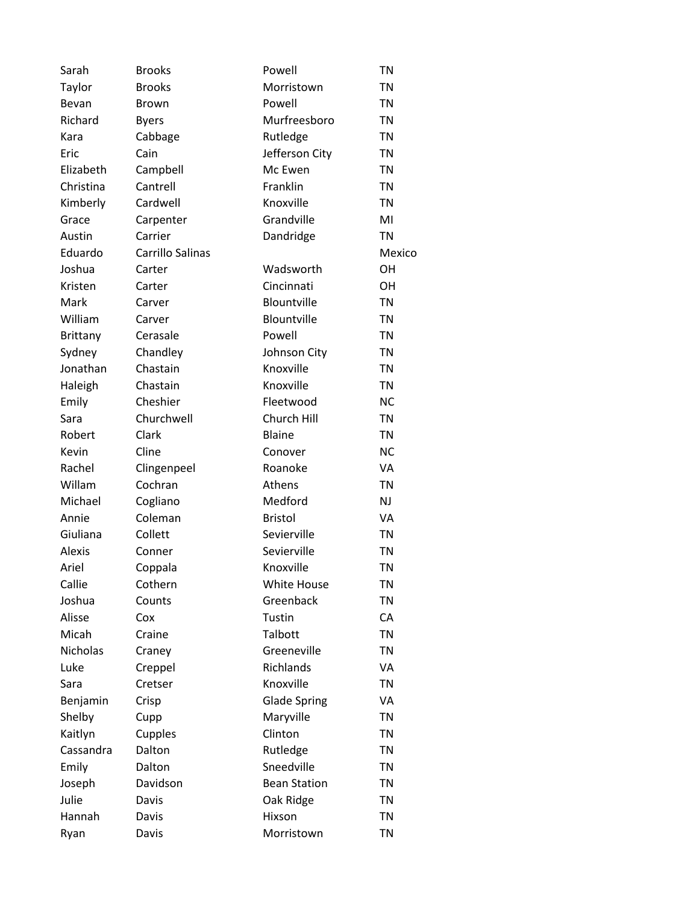| Sarah           | <b>Brooks</b>    | Powell              | <b>TN</b> |
|-----------------|------------------|---------------------|-----------|
| Taylor          | <b>Brooks</b>    | Morristown          | <b>TN</b> |
| Bevan           | <b>Brown</b>     | Powell              | <b>TN</b> |
| Richard         | <b>Byers</b>     | Murfreesboro        | <b>TN</b> |
| Kara            | Cabbage          | Rutledge            | <b>TN</b> |
| Eric            | Cain             | Jefferson City      | <b>TN</b> |
| Elizabeth       | Campbell         | Mc Ewen             | <b>TN</b> |
| Christina       | Cantrell         | Franklin            | <b>TN</b> |
| Kimberly        | Cardwell         | Knoxville           | <b>TN</b> |
| Grace           | Carpenter        | Grandville          | MI        |
| Austin          | Carrier          | Dandridge           | <b>TN</b> |
| Eduardo         | Carrillo Salinas |                     | Mexico    |
| Joshua          | Carter           | Wadsworth           | OH        |
| Kristen         | Carter           | Cincinnati          | <b>OH</b> |
| Mark            | Carver           | Blountville         | <b>TN</b> |
| William         | Carver           | Blountville         | <b>TN</b> |
| <b>Brittany</b> | Cerasale         | Powell              | <b>TN</b> |
| Sydney          | Chandley         | Johnson City        | <b>TN</b> |
| Jonathan        | Chastain         | Knoxville           | <b>TN</b> |
| Haleigh         | Chastain         | Knoxville           | <b>TN</b> |
| Emily           | Cheshier         | Fleetwood           | <b>NC</b> |
| Sara            | Churchwell       | Church Hill         | <b>TN</b> |
| Robert          | Clark            | Blaine              | <b>TN</b> |
| Kevin           | Cline            | Conover             | <b>NC</b> |
| Rachel          | Clingenpeel      | Roanoke             | VA        |
| Willam          | Cochran          | Athens              | <b>TN</b> |
| Michael         | Cogliano         | Medford             | NJ        |
| Annie           | Coleman          | <b>Bristol</b>      | VA        |
| Giuliana        | Collett          | Sevierville         | <b>TN</b> |
| Alexis          | Conner           | Sevierville         | TN        |
| Ariel           | Coppala          | Knoxville           | <b>TN</b> |
| Callie          | Cothern          | White House         | <b>TN</b> |
| Joshua          | Counts           | Greenback           | <b>TN</b> |
| Alisse          | Cox              | Tustin              | CA        |
| Micah           | Craine           | Talbott             | <b>TN</b> |
| Nicholas        | Craney           | Greeneville         | <b>TN</b> |
| Luke            | Creppel          | Richlands           | VA        |
| Sara            | Cretser          | Knoxville           | <b>TN</b> |
| Benjamin        | Crisp            | <b>Glade Spring</b> | VA        |
| Shelby          | Cupp             | Maryville           | <b>TN</b> |
| Kaitlyn         | Cupples          | Clinton             | <b>TN</b> |
| Cassandra       | Dalton           | Rutledge            | TN        |
| Emily           | Dalton           | Sneedville          | <b>TN</b> |
| Joseph          | Davidson         | <b>Bean Station</b> | <b>TN</b> |
| Julie           | Davis            | Oak Ridge           | <b>TN</b> |
| Hannah          | Davis            | Hixson              | <b>TN</b> |
| Ryan            | Davis            | Morristown          | <b>TN</b> |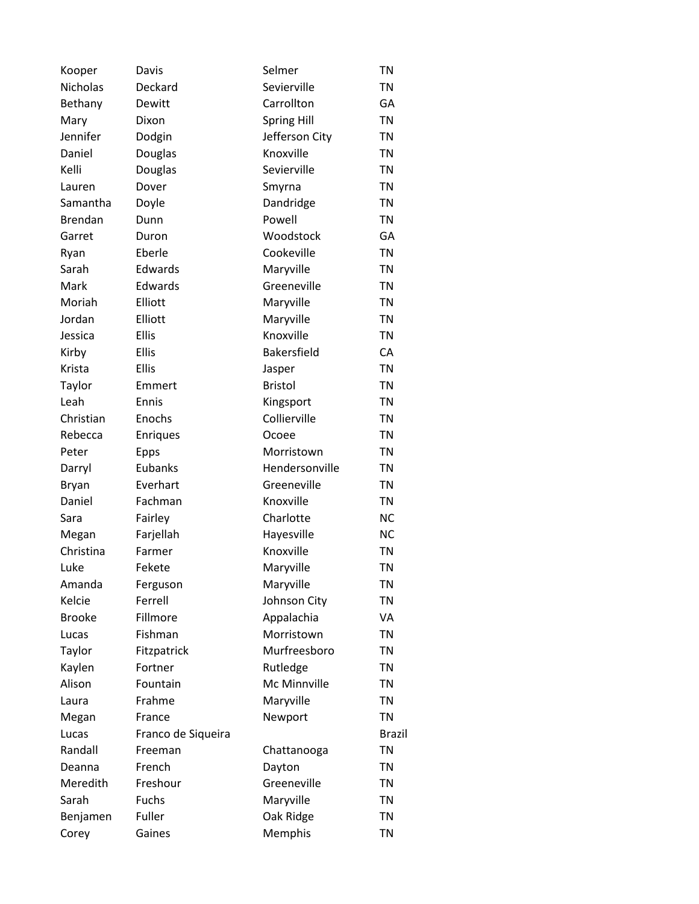| Kooper          | Davis              | Selmer             | <b>TN</b> |
|-----------------|--------------------|--------------------|-----------|
| <b>Nicholas</b> | Deckard            | Sevierville        | <b>TN</b> |
| Bethany         | Dewitt             | Carrollton         | GA        |
| Mary            | Dixon              | <b>Spring Hill</b> | <b>TN</b> |
| Jennifer        | Dodgin             | Jefferson City     | <b>TN</b> |
| Daniel          | Douglas            | Knoxville          | TN        |
| Kelli           | Douglas            | Sevierville        | <b>TN</b> |
| Lauren          | Dover              | Smyrna             | <b>TN</b> |
| Samantha        | Doyle              | Dandridge          | <b>TN</b> |
| <b>Brendan</b>  | Dunn               | Powell             | <b>TN</b> |
| Garret          | Duron              | Woodstock          | GA        |
| Ryan            | Eberle             | Cookeville         | <b>TN</b> |
| Sarah           | Edwards            | Maryville          | <b>TN</b> |
| Mark            | Edwards            | Greeneville        | <b>TN</b> |
| Moriah          | Elliott            | Maryville          | <b>TN</b> |
| Jordan          | Elliott            | Maryville          | <b>TN</b> |
| Jessica         | <b>Ellis</b>       | Knoxville          | <b>TN</b> |
| Kirby           | <b>Ellis</b>       | Bakersfield        | CA        |
| Krista          | <b>Ellis</b>       | Jasper             | <b>TN</b> |
| Taylor          | Emmert             | <b>Bristol</b>     | <b>TN</b> |
| Leah            | Ennis              | Kingsport          | <b>TN</b> |
| Christian       | Enochs             | Collierville       | <b>TN</b> |
| Rebecca         | Enriques           | Ocoee              | <b>TN</b> |
| Peter           | <b>Epps</b>        | Morristown         | <b>TN</b> |
| Darryl          | Eubanks            | Hendersonville     | TN        |
| Bryan           | Everhart           | Greeneville        | <b>TN</b> |
| Daniel          | Fachman            | Knoxville          | <b>TN</b> |
| Sara            | Fairley            | Charlotte          | <b>NC</b> |
| Megan           | Farjellah          | Hayesville         | <b>NC</b> |
| Christina       | Farmer             | Knoxville          | <b>TN</b> |
| Luke            | Fekete             | Maryville          | <b>TN</b> |
| Amanda          | Ferguson           | Maryville          | ΤN        |
| Kelcie          | Ferrell            | Johnson City       | <b>TN</b> |
| <b>Brooke</b>   | Fillmore           | Appalachia         | VA        |
| Lucas           | Fishman            | Morristown         | <b>TN</b> |
| Taylor          | Fitzpatrick        | Murfreesboro       | <b>TN</b> |
| Kaylen          | Fortner            | Rutledge           | TN        |
| Alison          | Fountain           | Mc Minnville       | <b>TN</b> |
| Laura           | Frahme             | Maryville          | <b>TN</b> |
| Megan           | France             | Newport            | <b>TN</b> |
| Lucas           | Franco de Siqueira |                    | Brazil    |
| Randall         | Freeman            | Chattanooga        | ΤN        |
| Deanna          | French             | Dayton             | <b>TN</b> |
| Meredith        | Freshour           | Greeneville        | TN        |
| Sarah           | Fuchs              | Maryville          | <b>TN</b> |
| Benjamen        | Fuller             | Oak Ridge          | TN        |
| Corey           | Gaines             | Memphis            | TN        |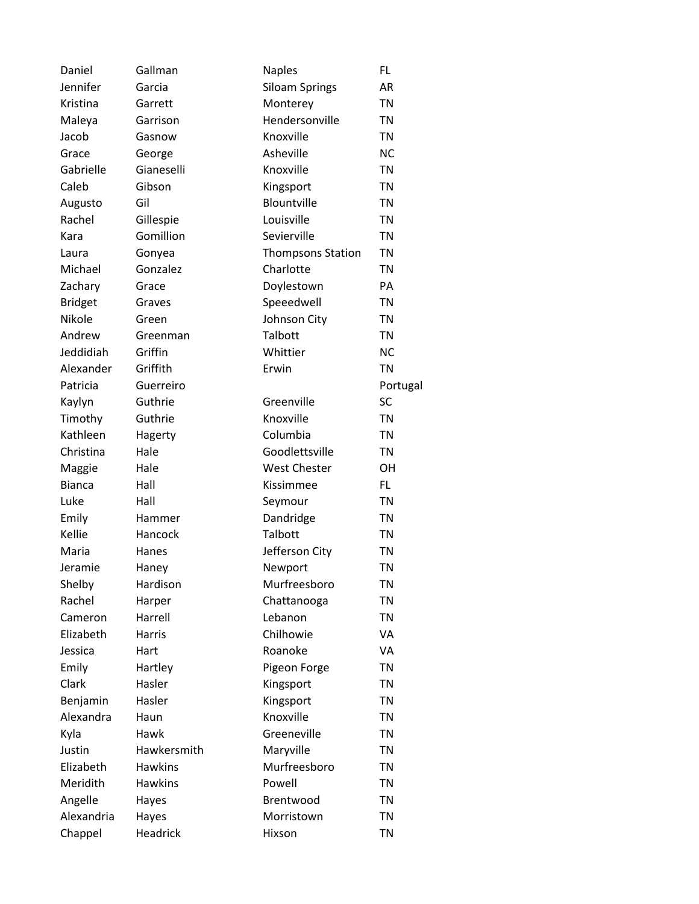| Daniel         | Gallman        | <b>Naples</b>            | FL        |
|----------------|----------------|--------------------------|-----------|
| Jennifer       | Garcia         | <b>Siloam Springs</b>    | <b>AR</b> |
| Kristina       | Garrett        | Monterey                 | <b>TN</b> |
| Maleya         | Garrison       | Hendersonville           | <b>TN</b> |
| Jacob          | Gasnow         | Knoxville                | <b>TN</b> |
| Grace          | George         | Asheville                | <b>NC</b> |
| Gabrielle      | Gianeselli     | Knoxville                | <b>TN</b> |
| Caleb          | Gibson         | Kingsport                | <b>TN</b> |
| Augusto        | Gil            | Blountville              | <b>TN</b> |
| Rachel         | Gillespie      | Louisville               | <b>TN</b> |
| Kara           | Gomillion      | Sevierville              | <b>TN</b> |
| Laura          | Gonyea         | <b>Thompsons Station</b> | <b>TN</b> |
| Michael        | Gonzalez       | Charlotte                | <b>TN</b> |
| Zachary        | Grace          | Doylestown               | PA        |
| <b>Bridget</b> | Graves         | Speeedwell               | <b>TN</b> |
| Nikole         | Green          | Johnson City             | <b>TN</b> |
| Andrew         | Greenman       | Talbott                  | <b>TN</b> |
| Jeddidiah      | Griffin        | Whittier                 | <b>NC</b> |
| Alexander      | Griffith       | Erwin                    | <b>TN</b> |
| Patricia       | Guerreiro      |                          | Portugal  |
| Kaylyn         | Guthrie        | Greenville               | SC        |
| Timothy        | Guthrie        | Knoxville                | <b>TN</b> |
| Kathleen       | Hagerty        | Columbia                 | <b>TN</b> |
| Christina      | Hale           | Goodlettsville           | <b>TN</b> |
| Maggie         | Hale           | <b>West Chester</b>      | OН        |
| <b>Bianca</b>  | Hall           | Kissimmee                | FL.       |
| Luke           | Hall           | Seymour                  | <b>TN</b> |
| Emily          | Hammer         | Dandridge                | <b>TN</b> |
| Kellie         | Hancock        | Talbott                  | <b>TN</b> |
| Maria          | Hanes          | Jefferson City           | <b>TN</b> |
| Jeramie        | Haney          | Newport                  | <b>TN</b> |
| Shelby         | Hardison       | Murfreesboro             | TN        |
| Rachel         | Harper         | Chattanooga              | <b>TN</b> |
| Cameron        | Harrell        | Lebanon                  | <b>TN</b> |
| Elizabeth      | Harris         | Chilhowie                | VA        |
| Jessica        | Hart           | Roanoke                  | VA        |
| Emily          | Hartley        | Pigeon Forge             | <b>TN</b> |
| Clark          | Hasler         | Kingsport                | <b>TN</b> |
| Benjamin       | Hasler         | Kingsport                | <b>TN</b> |
| Alexandra      | Haun           | Knoxville                | <b>TN</b> |
| Kyla           | Hawk           | Greeneville              | <b>TN</b> |
| Justin         | Hawkersmith    | Maryville                | <b>TN</b> |
| Elizabeth      | <b>Hawkins</b> | Murfreesboro             | <b>TN</b> |
| Meridith       | <b>Hawkins</b> | Powell                   | <b>TN</b> |
| Angelle        | Hayes          | Brentwood                | <b>TN</b> |
| Alexandria     | Hayes          | Morristown               | <b>TN</b> |
| Chappel        | Headrick       | Hixson                   | <b>TN</b> |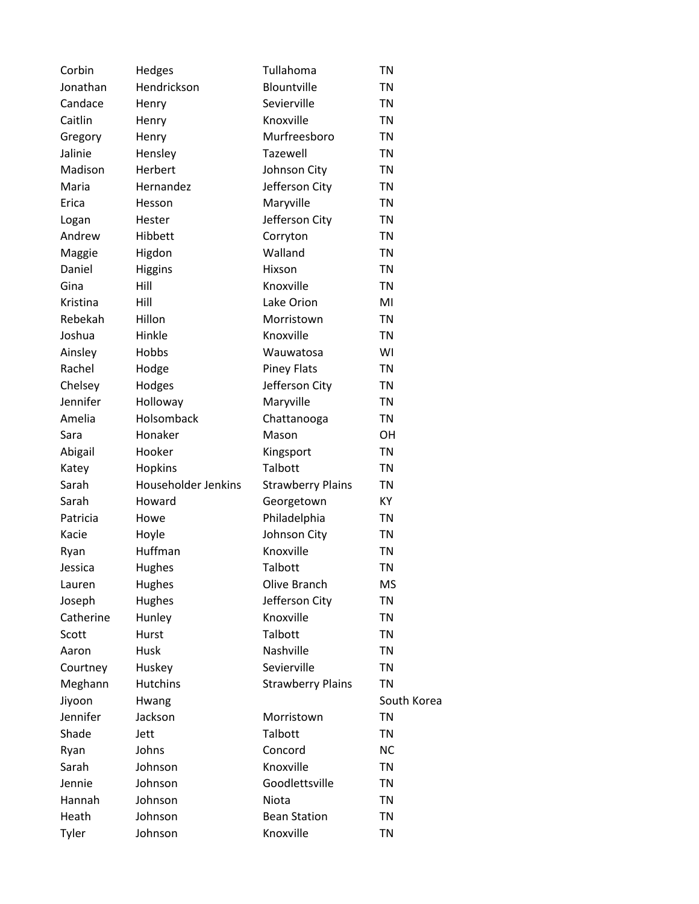| Corbin    | Hedges              | Tullahoma                | <b>TN</b>   |
|-----------|---------------------|--------------------------|-------------|
| Jonathan  | Hendrickson         | Blountville              | <b>TN</b>   |
| Candace   | Henry               | Sevierville              | <b>TN</b>   |
| Caitlin   | Henry               | Knoxville                | <b>TN</b>   |
| Gregory   | Henry               | Murfreesboro             | <b>TN</b>   |
| Jalinie   | Hensley             | Tazewell                 | TN          |
| Madison   | Herbert             | Johnson City             | <b>TN</b>   |
| Maria     | Hernandez           | Jefferson City           | <b>TN</b>   |
| Erica     | Hesson              | Maryville                | <b>TN</b>   |
| Logan     | Hester              | Jefferson City           | <b>TN</b>   |
| Andrew    | Hibbett             | Corryton                 | <b>TN</b>   |
| Maggie    | Higdon              | Walland                  | <b>TN</b>   |
| Daniel    | <b>Higgins</b>      | Hixson                   | <b>TN</b>   |
| Gina      | Hill                | Knoxville                | <b>TN</b>   |
| Kristina  | Hill                | Lake Orion               | MI          |
| Rebekah   | Hillon              | Morristown               | <b>TN</b>   |
| Joshua    | Hinkle              | Knoxville                | <b>TN</b>   |
| Ainsley   | Hobbs               | Wauwatosa                | WI          |
| Rachel    | Hodge               | <b>Piney Flats</b>       | <b>TN</b>   |
| Chelsey   | Hodges              | Jefferson City           | <b>TN</b>   |
| Jennifer  | Holloway            | Maryville                | <b>TN</b>   |
| Amelia    | Holsomback          | Chattanooga              | <b>TN</b>   |
| Sara      | Honaker             | Mason                    | <b>OH</b>   |
| Abigail   | Hooker              | Kingsport                | <b>TN</b>   |
| Katey     | Hopkins             | Talbott                  | TN          |
| Sarah     | Householder Jenkins | <b>Strawberry Plains</b> | <b>TN</b>   |
| Sarah     | Howard              | Georgetown               | КY          |
| Patricia  | Howe                | Philadelphia             | <b>TN</b>   |
| Kacie     | Hoyle               | Johnson City             | <b>TN</b>   |
| Ryan      | Huffman             | Knoxville                | TN          |
| Jessica   | <b>Hughes</b>       | Talbott                  | <b>TN</b>   |
| Lauren    | Hughes              | Olive Branch             | ΜS          |
| Joseph    | Hughes              | Jefferson City           | <b>TN</b>   |
| Catherine | Hunley              | Knoxville                | <b>TN</b>   |
| Scott     | Hurst               | Talbott                  | <b>TN</b>   |
| Aaron     | Husk                | Nashville                | <b>TN</b>   |
| Courtney  | Huskey              | Sevierville              | TN          |
| Meghann   | <b>Hutchins</b>     | <b>Strawberry Plains</b> | <b>TN</b>   |
| Jiyoon    | Hwang               |                          | South Korea |
| Jennifer  | Jackson             | Morristown               | <b>TN</b>   |
| Shade     | Jett                | Talbott                  | TN          |
| Ryan      | Johns               | Concord                  | <b>NC</b>   |
| Sarah     | Johnson             | Knoxville                | <b>TN</b>   |
| Jennie    | Johnson             | Goodlettsville           | <b>TN</b>   |
| Hannah    | Johnson             | Niota                    | <b>TN</b>   |
| Heath     | Johnson             | <b>Bean Station</b>      | <b>TN</b>   |
| Tyler     | Johnson             | Knoxville                | <b>TN</b>   |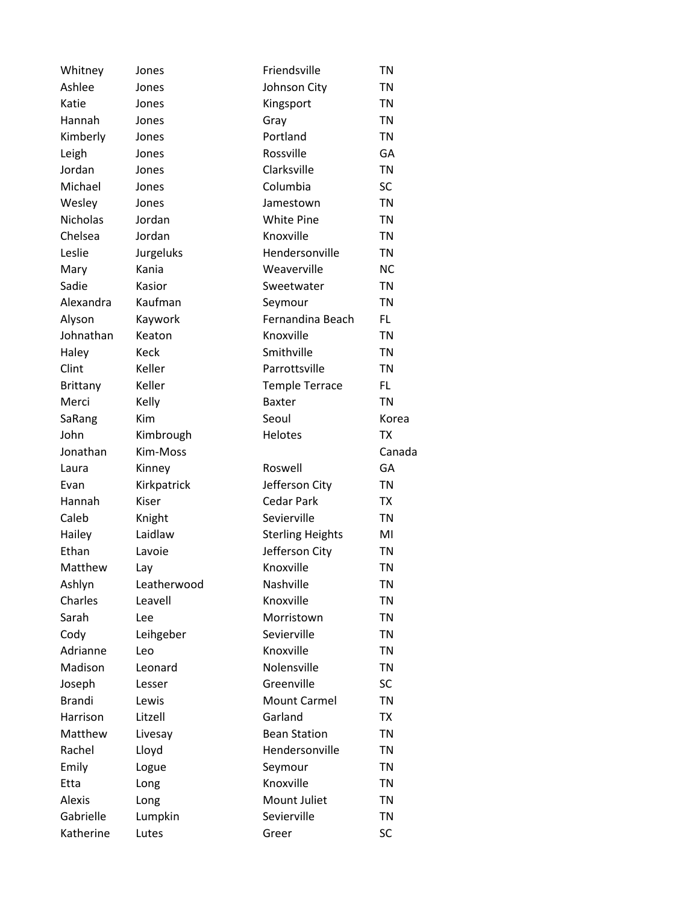| Whitney         | Jones       | Friendsville            | <b>TN</b> |
|-----------------|-------------|-------------------------|-----------|
| Ashlee          | Jones       | Johnson City            | TN        |
| Katie           | Jones       | Kingsport               | TN        |
| Hannah          | Jones       | Gray                    | <b>TN</b> |
| Kimberly        | Jones       | Portland                | <b>TN</b> |
| Leigh           | Jones       | Rossville               | GA        |
| Jordan          | Jones       | Clarksville             | <b>TN</b> |
| Michael         | Jones       | Columbia                | <b>SC</b> |
| Wesley          | Jones       | Jamestown               | <b>TN</b> |
| <b>Nicholas</b> | Jordan      | <b>White Pine</b>       | <b>TN</b> |
| Chelsea         | Jordan      | Knoxville               | TN        |
| Leslie          | Jurgeluks   | Hendersonville          | <b>TN</b> |
| Mary            | Kania       | Weaverville             | <b>NC</b> |
| Sadie           | Kasior      | Sweetwater              | <b>TN</b> |
| Alexandra       | Kaufman     | Seymour                 | <b>TN</b> |
| Alyson          | Kaywork     | Fernandina Beach        | FL        |
| Johnathan       | Keaton      | Knoxville               | <b>TN</b> |
| Haley           | Keck        | Smithville              | TN        |
| Clint           | Keller      | Parrottsville           | <b>TN</b> |
| <b>Brittany</b> | Keller      | <b>Temple Terrace</b>   | FL        |
| Merci           | Kelly       | <b>Baxter</b>           | <b>TN</b> |
| SaRang          | Kim         | Seoul                   | Korea     |
| John            | Kimbrough   | Helotes                 | <b>TX</b> |
| Jonathan        | Kim-Moss    |                         | Canada    |
| Laura           | Kinney      | Roswell                 | GA        |
| Evan            | Kirkpatrick | Jefferson City          | <b>TN</b> |
| Hannah          | Kiser       | <b>Cedar Park</b>       | TX        |
| Caleb           | Knight      | Sevierville             | <b>TN</b> |
| Hailey          | Laidlaw     | <b>Sterling Heights</b> | MI        |
| Ethan           | Lavoie      | Jefferson City          | <b>TN</b> |
| Matthew         | Lay         | Knoxville               | <b>TN</b> |
| Ashlyn          | Leatherwood | Nashville               | <b>TN</b> |
| Charles         | Leavell     | Knoxville               | <b>TN</b> |
| Sarah           | Lee         | Morristown              | TN        |
| Cody            | Leihgeber   | Sevierville             | TN        |
| Adrianne        | Leo         | Knoxville               | <b>TN</b> |
| Madison         | Leonard     | Nolensville             | TN        |
| Joseph          | Lesser      | Greenville              | SC        |
| <b>Brandi</b>   | Lewis       | <b>Mount Carmel</b>     | <b>TN</b> |
| Harrison        | Litzell     | Garland                 | TX        |
| Matthew         | Livesay     | <b>Bean Station</b>     | <b>TN</b> |
| Rachel          | Lloyd       | Hendersonville          | TN        |
| Emily           | Logue       | Seymour                 | TN        |
| Etta            | Long        | Knoxville               | TN        |
| <b>Alexis</b>   | Long        | Mount Juliet            | TN        |
| Gabrielle       | Lumpkin     | Sevierville             | TN        |
| Katherine       | Lutes       | Greer                   | SC        |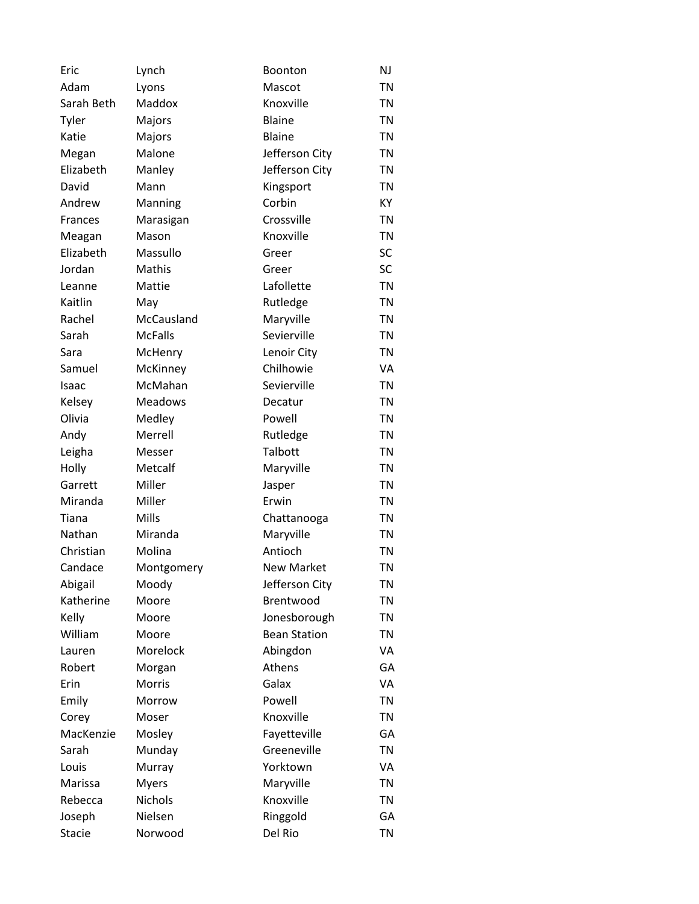| Eric          | Lynch          | Boonton             | NJ        |
|---------------|----------------|---------------------|-----------|
| Adam          | Lyons          | Mascot              | <b>TN</b> |
| Sarah Beth    | Maddox         | Knoxville           | <b>TN</b> |
| Tyler         | Majors         | Blaine              | <b>TN</b> |
| Katie         | Majors         | <b>Blaine</b>       | <b>TN</b> |
| Megan         | Malone         | Jefferson City      | TN        |
| Elizabeth     | Manley         | Jefferson City      | <b>TN</b> |
| David         | Mann           | Kingsport           | <b>TN</b> |
| Andrew        | Manning        | Corbin              | KY        |
| Frances       | Marasigan      | Crossville          | <b>TN</b> |
| Meagan        | Mason          | Knoxville           | <b>TN</b> |
| Elizabeth     | Massullo       | Greer               | SC        |
| Jordan        | Mathis         | Greer               | <b>SC</b> |
| Leanne        | Mattie         | Lafollette          | <b>TN</b> |
| Kaitlin       | May            | Rutledge            | <b>TN</b> |
| Rachel        | McCausland     | Maryville           | <b>TN</b> |
| Sarah         | <b>McFalls</b> | Sevierville         | <b>TN</b> |
| Sara          | McHenry        | Lenoir City         | <b>TN</b> |
| Samuel        | McKinney       | Chilhowie           | VA        |
| Isaac         | McMahan        | Sevierville         | <b>TN</b> |
| Kelsey        | <b>Meadows</b> | Decatur             | <b>TN</b> |
| Olivia        | Medley         | Powell              | <b>TN</b> |
| Andy          | Merrell        | Rutledge            | <b>TN</b> |
| Leigha        | Messer         | Talbott             | <b>TN</b> |
| Holly         | Metcalf        | Maryville           | TN        |
| Garrett       | Miller         | Jasper              | <b>TN</b> |
| Miranda       | Miller         | Erwin               | <b>TN</b> |
| Tiana         | Mills          | Chattanooga         | <b>TN</b> |
| Nathan        | Miranda        | Maryville           | <b>TN</b> |
| Christian     | Molina         | Antioch             | <b>TN</b> |
| Candace       | Montgomery     | <b>New Market</b>   | <b>TN</b> |
| Abigail       | Moody          | Jefferson City      | <b>TN</b> |
| Katherine     | Moore          | Brentwood           | <b>TN</b> |
| Kelly         | Moore          | Jonesborough        | TN        |
| William       | Moore          | <b>Bean Station</b> | <b>TN</b> |
| Lauren        | Morelock       | Abingdon            | VA        |
| Robert        | Morgan         | Athens              | GA        |
| Erin          | Morris         | Galax               | VA        |
| Emily         | Morrow         | Powell              | <b>TN</b> |
| Corey         | Moser          | Knoxville           | <b>TN</b> |
| MacKenzie     | Mosley         | Fayetteville        | GA        |
| Sarah         | Munday         | Greeneville         | TN        |
| Louis         | Murray         | Yorktown            | VA        |
| Marissa       | <b>Myers</b>   | Maryville           | <b>TN</b> |
| Rebecca       | Nichols        | Knoxville           | <b>TN</b> |
| Joseph        | Nielsen        | Ringgold            | GA        |
| <b>Stacie</b> | Norwood        | Del Rio             | <b>TN</b> |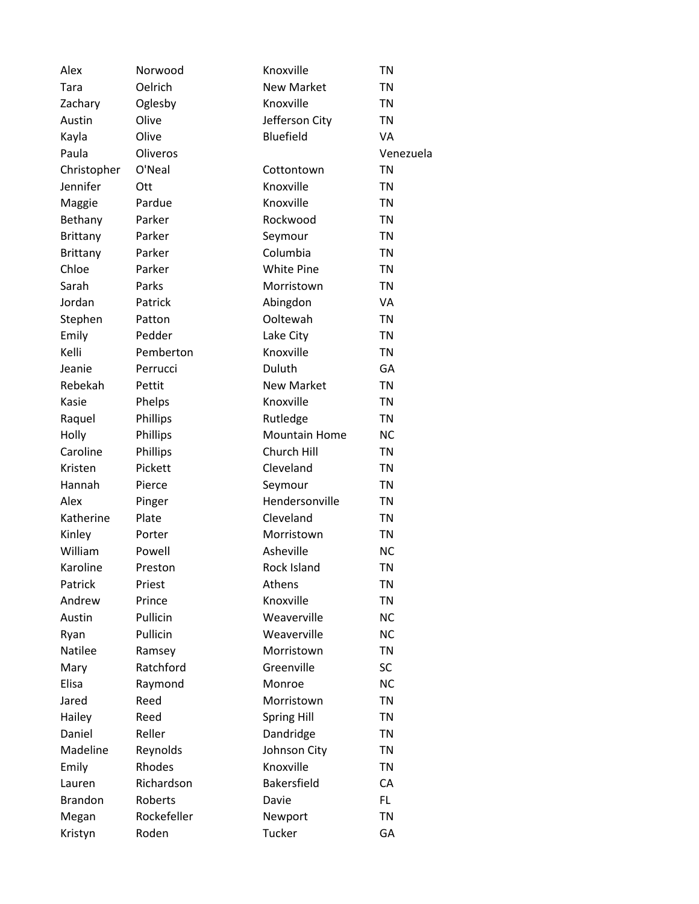| Alex            | Norwood     | Knoxville            | <b>TN</b> |
|-----------------|-------------|----------------------|-----------|
| Tara            | Oelrich     | <b>New Market</b>    | <b>TN</b> |
| Zachary         | Oglesby     | Knoxville            | <b>TN</b> |
| Austin          | Olive       | Jefferson City       | <b>TN</b> |
| Kayla           | Olive       | Bluefield            | VA        |
| Paula           | Oliveros    |                      | Venezuela |
| Christopher     | O'Neal      | Cottontown           | <b>TN</b> |
| Jennifer        | Ott         | Knoxville            | <b>TN</b> |
| Maggie          | Pardue      | Knoxville            | <b>TN</b> |
| Bethany         | Parker      | Rockwood             | <b>TN</b> |
| <b>Brittany</b> | Parker      | Seymour              | TN        |
| Brittany        | Parker      | Columbia             | <b>TN</b> |
| Chloe           | Parker      | <b>White Pine</b>    | <b>TN</b> |
| Sarah           | Parks       | Morristown           | <b>TN</b> |
| Jordan          | Patrick     | Abingdon             | VA        |
| Stephen         | Patton      | Ooltewah             | TN        |
| Emily           | Pedder      | Lake City            | <b>TN</b> |
| Kelli           | Pemberton   | Knoxville            | <b>TN</b> |
| Jeanie          | Perrucci    | Duluth               | GA        |
| Rebekah         | Pettit      | <b>New Market</b>    | <b>TN</b> |
| Kasie           | Phelps      | Knoxville            | TN        |
| Raquel          | Phillips    | Rutledge             | <b>TN</b> |
| Holly           | Phillips    | <b>Mountain Home</b> | <b>NC</b> |
| Caroline        | Phillips    | Church Hill          | <b>TN</b> |
| Kristen         | Pickett     | Cleveland            | <b>TN</b> |
| Hannah          | Pierce      | Seymour              | <b>TN</b> |
| Alex            | Pinger      | Hendersonville       | <b>TN</b> |
| Katherine       | Plate       | Cleveland            | <b>TN</b> |
| Kinley          | Porter      | Morristown           | <b>TN</b> |
| William         | Powell      | Asheville            | <b>NC</b> |
| Karoline        | Preston     | Rock Island          | <b>TN</b> |
| Patrick         | Priest      | Athens               | <b>TN</b> |
| Andrew          | Prince      | Knoxville            | <b>TN</b> |
| Austin          | Pullicin    | Weaverville          | <b>NC</b> |
| Ryan            | Pullicin    | Weaverville          | <b>NC</b> |
| Natilee         | Ramsey      | Morristown           | <b>TN</b> |
| Mary            | Ratchford   | Greenville           | SC        |
| Elisa           | Raymond     | Monroe               | <b>NC</b> |
| Jared           | Reed        | Morristown           | <b>TN</b> |
| Hailey          | Reed        | <b>Spring Hill</b>   | <b>TN</b> |
| Daniel          | Reller      | Dandridge            | <b>TN</b> |
| Madeline        | Reynolds    | Johnson City         | <b>TN</b> |
| Emily           | Rhodes      | Knoxville            | <b>TN</b> |
| Lauren          | Richardson  | <b>Bakersfield</b>   | CA        |
| <b>Brandon</b>  | Roberts     | Davie                | FL.       |
| Megan           | Rockefeller | Newport              | <b>TN</b> |
| Kristyn         | Roden       | <b>Tucker</b>        | GA        |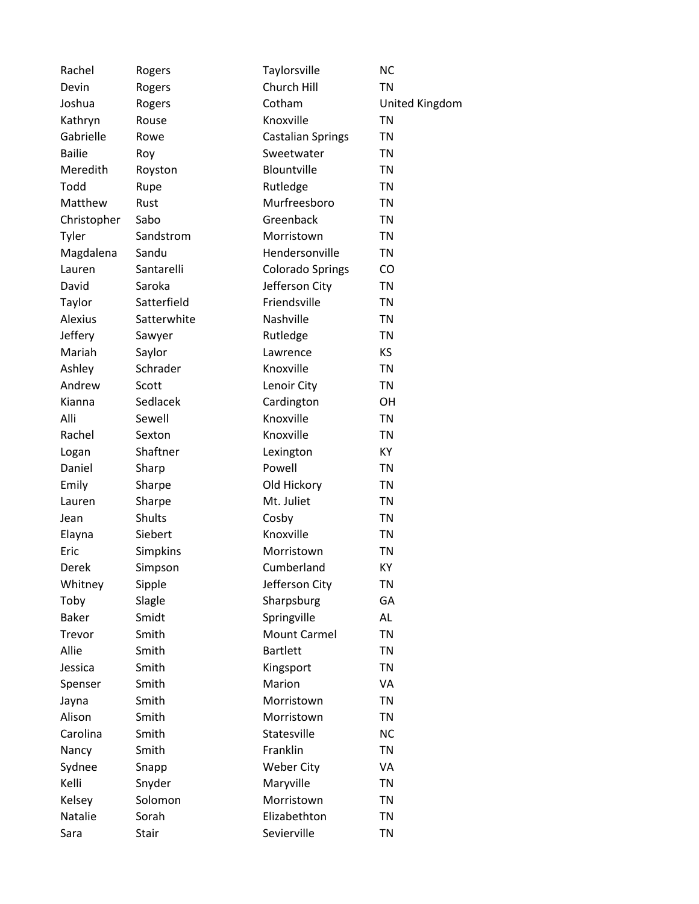| Rachel        | Rogers        | Taylorsville             | <b>NC</b>      |
|---------------|---------------|--------------------------|----------------|
| Devin         | Rogers        | Church Hill              | <b>TN</b>      |
| Joshua        | Rogers        | Cotham                   | United Kingdom |
| Kathryn       | Rouse         | Knoxville                | <b>TN</b>      |
| Gabrielle     | Rowe          | <b>Castalian Springs</b> | <b>TN</b>      |
| <b>Bailie</b> | Roy           | Sweetwater               | <b>TN</b>      |
| Meredith      | Royston       | Blountville              | <b>TN</b>      |
| Todd          | Rupe          | Rutledge                 | <b>TN</b>      |
| Matthew       | Rust          | Murfreesboro             | <b>TN</b>      |
| Christopher   | Sabo          | Greenback                | <b>TN</b>      |
| Tyler         | Sandstrom     | Morristown               | TN             |
| Magdalena     | Sandu         | Hendersonville           | <b>TN</b>      |
| Lauren        | Santarelli    | <b>Colorado Springs</b>  | CO             |
| David         | Saroka        | Jefferson City           | <b>TN</b>      |
| Taylor        | Satterfield   | Friendsville             | <b>TN</b>      |
| Alexius       | Satterwhite   | Nashville                | <b>TN</b>      |
| Jeffery       | Sawyer        | Rutledge                 | <b>TN</b>      |
| Mariah        | Saylor        | Lawrence                 | KS             |
| Ashley        | Schrader      | Knoxville                | <b>TN</b>      |
| Andrew        | Scott         | Lenoir City              | <b>TN</b>      |
| Kianna        | Sedlacek      | Cardington               | OН             |
| Alli          | Sewell        | Knoxville                | <b>TN</b>      |
| Rachel        | Sexton        | Knoxville                | <b>TN</b>      |
| Logan         | Shaftner      | Lexington                | KY             |
| Daniel        | Sharp         | Powell                   | <b>TN</b>      |
| Emily         | Sharpe        | Old Hickory              | <b>TN</b>      |
| Lauren        | Sharpe        | Mt. Juliet               | <b>TN</b>      |
| Jean          | <b>Shults</b> | Cosby                    | <b>TN</b>      |
| Elayna        | Siebert       | Knoxville                | <b>TN</b>      |
| Eric          | Simpkins      | Morristown               | <b>TN</b>      |
| Derek         | Simpson       | Cumberland               | KY             |
| Whitney       | Sipple        | Jefferson City           | <b>TN</b>      |
| Toby          | Slagle        | Sharpsburg               | GA             |
| <b>Baker</b>  | Smidt         | Springville              | AL             |
| Trevor        | Smith         | <b>Mount Carmel</b>      | <b>TN</b>      |
| Allie         | Smith         | <b>Bartlett</b>          | <b>TN</b>      |
| Jessica       | Smith         | Kingsport                | <b>TN</b>      |
| Spenser       | Smith         | Marion                   | VA             |
| Jayna         | Smith         | Morristown               | <b>TN</b>      |
| Alison        | Smith         | Morristown               | <b>TN</b>      |
| Carolina      | Smith         | Statesville              | <b>NC</b>      |
| Nancy         | Smith         | Franklin                 | <b>TN</b>      |
| Sydnee        | Snapp         | <b>Weber City</b>        | VA             |
| Kelli         | Snyder        | Maryville                | <b>TN</b>      |
| Kelsey        | Solomon       | Morristown               | <b>TN</b>      |
| Natalie       | Sorah         | Elizabethton             | <b>TN</b>      |
| Sara          | Stair         | Sevierville              | <b>TN</b>      |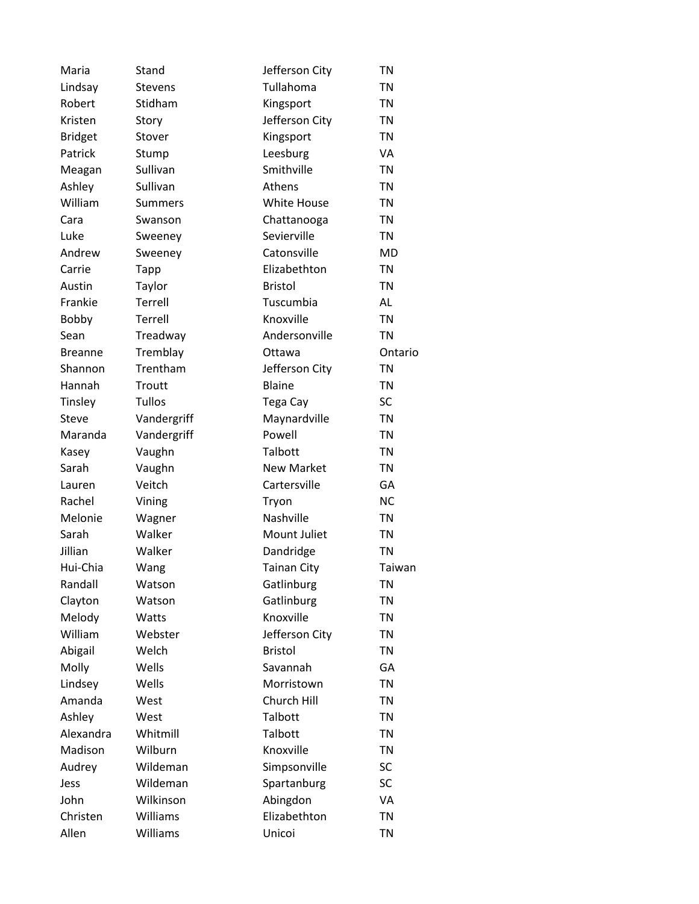| Maria          | Stand          | Jefferson City     | <b>TN</b> |
|----------------|----------------|--------------------|-----------|
| Lindsay        | <b>Stevens</b> | Tullahoma          | <b>TN</b> |
| Robert         | Stidham        | Kingsport          | <b>TN</b> |
| Kristen        | Story          | Jefferson City     | <b>TN</b> |
| <b>Bridget</b> | Stover         | Kingsport          | <b>TN</b> |
| Patrick        | Stump          | Leesburg           | VA        |
| Meagan         | Sullivan       | Smithville         | <b>TN</b> |
| Ashley         | Sullivan       | Athens             | <b>TN</b> |
| William        | <b>Summers</b> | <b>White House</b> | <b>TN</b> |
| Cara           | Swanson        | Chattanooga        | <b>TN</b> |
| Luke           | Sweeney        | Sevierville        | <b>TN</b> |
| Andrew         | Sweeney        | Catonsville        | <b>MD</b> |
| Carrie         | <b>Tapp</b>    | Elizabethton       | <b>TN</b> |
| Austin         | Taylor         | <b>Bristol</b>     | <b>TN</b> |
| Frankie        | Terrell        | Tuscumbia          | AL        |
| Bobby          | Terrell        | Knoxville          | <b>TN</b> |
| Sean           | Treadway       | Andersonville      | <b>TN</b> |
| <b>Breanne</b> | Tremblay       | Ottawa             | Ontario   |
| Shannon        | Trentham       | Jefferson City     | <b>TN</b> |
| Hannah         | Troutt         | <b>Blaine</b>      | <b>TN</b> |
| Tinsley        | <b>Tullos</b>  | Tega Cay           | SC        |
| <b>Steve</b>   | Vandergriff    | Maynardville       | <b>TN</b> |
| Maranda        | Vandergriff    | Powell             | <b>TN</b> |
| Kasey          | Vaughn         | Talbott            | <b>TN</b> |
| Sarah          | Vaughn         | <b>New Market</b>  | <b>TN</b> |
| Lauren         | Veitch         | Cartersville       | GA        |
| Rachel         | Vining         | Tryon              | <b>NC</b> |
| Melonie        | Wagner         | Nashville          | <b>TN</b> |
| Sarah          | Walker         | Mount Juliet       | <b>TN</b> |
| Jillian        | Walker         | Dandridge          | <b>TN</b> |
| Hui-Chia       | Wang           | <b>Tainan City</b> | Taiwan    |
| Randall        | Watson         | Gatlinburg         | <b>TN</b> |
| Clayton        | Watson         | Gatlinburg         | <b>TN</b> |
| Melody         | Watts          | Knoxville          | <b>TN</b> |
| William        | Webster        | Jefferson City     | <b>TN</b> |
| Abigail        | Welch          | <b>Bristol</b>     | <b>TN</b> |
| Molly          | Wells          | Savannah           | GA        |
| Lindsey        | Wells          | Morristown         | <b>TN</b> |
| Amanda         | West           | Church Hill        | <b>TN</b> |
| Ashley         | West           | Talbott            | <b>TN</b> |
| Alexandra      | Whitmill       | Talbott            | <b>TN</b> |
| Madison        | Wilburn        | Knoxville          | TN        |
| Audrey         | Wildeman       | Simpsonville       | SC        |
| Jess           | Wildeman       | Spartanburg        | <b>SC</b> |
| John           | Wilkinson      | Abingdon           | VA        |
| Christen       | Williams       | Elizabethton       | <b>TN</b> |
| Allen          | Williams       | Unicoi             | <b>TN</b> |